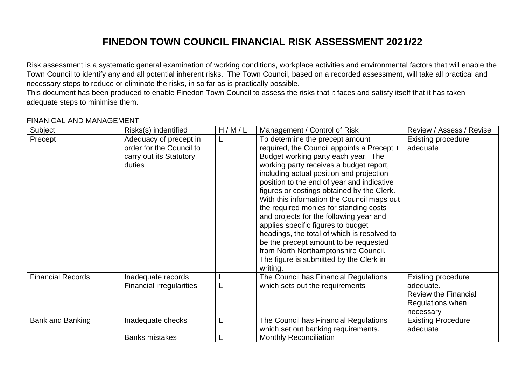## **FINEDON TOWN COUNCIL FINANCIAL RISK ASSESSMENT 2021/22**

Risk assessment is a systematic general examination of working conditions, workplace activities and environmental factors that will enable the Town Council to identify any and all potential inherent risks. The Town Council, based on a recorded assessment, will take all practical and necessary steps to reduce or eliminate the risks, in so far as is practically possible.

This document has been produced to enable Finedon Town Council to assess the risks that it faces and satisfy itself that it has taken adequate steps to minimise them.

## FINANICAL AND MANAGEMENT

| Subject                  | Risks(s) indentified                                                                    | H/M/L | Management / Control of Risk                                                                                                                                                                                                                                                                                                                                                                                                                                                                                                                                                                                                                                | Review / Assess / Revise                                                                               |
|--------------------------|-----------------------------------------------------------------------------------------|-------|-------------------------------------------------------------------------------------------------------------------------------------------------------------------------------------------------------------------------------------------------------------------------------------------------------------------------------------------------------------------------------------------------------------------------------------------------------------------------------------------------------------------------------------------------------------------------------------------------------------------------------------------------------------|--------------------------------------------------------------------------------------------------------|
| Precept                  | Adequacy of precept in<br>order for the Council to<br>carry out its Statutory<br>duties |       | To determine the precept amount<br>required, the Council appoints a Precept +<br>Budget working party each year. The<br>working party receives a budget report,<br>including actual position and projection<br>position to the end of year and indicative<br>figures or costings obtained by the Clerk.<br>With this information the Council maps out<br>the required monies for standing costs<br>and projects for the following year and<br>applies specific figures to budget<br>headings, the total of which is resolved to<br>be the precept amount to be requested<br>from North Northamptonshire Council.<br>The figure is submitted by the Clerk in | Existing procedure<br>adequate                                                                         |
|                          |                                                                                         |       | writing.                                                                                                                                                                                                                                                                                                                                                                                                                                                                                                                                                                                                                                                    |                                                                                                        |
| <b>Financial Records</b> | Inadequate records<br><b>Financial irregularities</b>                                   |       | The Council has Financial Regulations<br>which sets out the requirements                                                                                                                                                                                                                                                                                                                                                                                                                                                                                                                                                                                    | <b>Existing procedure</b><br>adequate.<br><b>Review the Financial</b><br>Regulations when<br>necessary |
| Bank and Banking         | Inadequate checks                                                                       |       | The Council has Financial Regulations<br>which set out banking requirements.                                                                                                                                                                                                                                                                                                                                                                                                                                                                                                                                                                                | <b>Existing Procedure</b><br>adequate                                                                  |
|                          | <b>Banks mistakes</b>                                                                   |       | <b>Monthly Reconciliation</b>                                                                                                                                                                                                                                                                                                                                                                                                                                                                                                                                                                                                                               |                                                                                                        |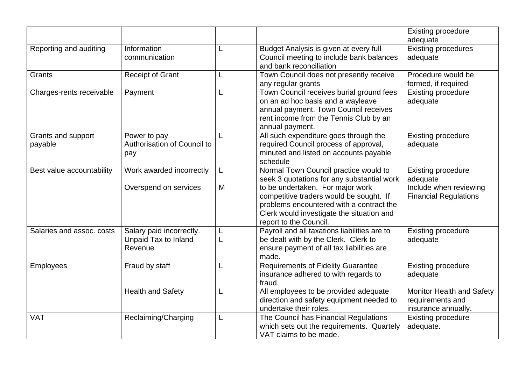|                               |                                                             |         |                                                                                                                                                                                                                                                                                       | <b>Existing procedure</b><br>adequate                                                                                |
|-------------------------------|-------------------------------------------------------------|---------|---------------------------------------------------------------------------------------------------------------------------------------------------------------------------------------------------------------------------------------------------------------------------------------|----------------------------------------------------------------------------------------------------------------------|
| Reporting and auditing        | Information<br>communication                                | L       | Budget Analysis is given at every full<br>Council meeting to include bank balances<br>and bank reconciliation                                                                                                                                                                         | <b>Existing procedures</b><br>adequate                                                                               |
| Grants                        | <b>Receipt of Grant</b>                                     | L       | Town Council does not presently receive<br>any regular grants                                                                                                                                                                                                                         | Procedure would be<br>formed, if required                                                                            |
| Charges-rents receivable      | Payment                                                     | L       | Town Council receives burial ground fees<br>on an ad hoc basis and a wayleave<br>annual payment. Town Council receives<br>rent income from the Tennis Club by an<br>annual payment.                                                                                                   | <b>Existing procedure</b><br>adequate                                                                                |
| Grants and support<br>payable | Power to pay<br>Authorisation of Council to<br>pay          |         | All such expenditure goes through the<br>required Council process of approval,<br>minuted and listed on accounts payable<br>schedule                                                                                                                                                  | <b>Existing procedure</b><br>adequate                                                                                |
| Best value accountability     | Work awarded incorrectly<br>Overspend on services           | L.<br>M | Normal Town Council practice would to<br>seek 3 quotations for any substantial work<br>to be undertaken. For major work<br>competitive traders would be sought. If<br>problems encountered with a contract the<br>Clerk would investigate the situation and<br>report to the Council. | <b>Existing procedure</b><br>adequate<br>Include when reviewing<br><b>Financial Regulations</b>                      |
| Salaries and assoc. costs     | Salary paid incorrectly.<br>Unpaid Tax to Inland<br>Revenue | L<br>L  | Payroll and all taxations liabilities are to<br>be dealt with by the Clerk. Clerk to<br>ensure payment of all tax liabilities are<br>made.                                                                                                                                            | <b>Existing procedure</b><br>adequate                                                                                |
| <b>Employees</b>              | Fraud by staff<br><b>Health and Safety</b>                  | L<br>L  | <b>Requirements of Fidelity Guarantee</b><br>insurance adhered to with regards to<br>fraud.<br>All employees to be provided adequate<br>direction and safety equipment needed to<br>undertake their roles.                                                                            | <b>Existing procedure</b><br>adequate<br><b>Monitor Health and Safety</b><br>requirements and<br>insurance annually. |
| <b>VAT</b>                    | Reclaiming/Charging                                         | L       | The Council has Financial Regulations<br>which sets out the requirements. Quartely<br>VAT claims to be made.                                                                                                                                                                          | <b>Existing procedure</b><br>adequate.                                                                               |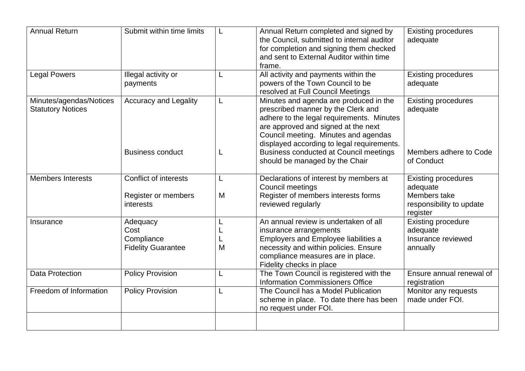| <b>Annual Return</b>                                | Submit within time limits                                        |        | Annual Return completed and signed by<br>the Council, submitted to internal auditor<br>for completion and signing them checked<br>and sent to External Auditor within time<br>frame.                                                                   | <b>Existing procedures</b><br>adequate                                             |
|-----------------------------------------------------|------------------------------------------------------------------|--------|--------------------------------------------------------------------------------------------------------------------------------------------------------------------------------------------------------------------------------------------------------|------------------------------------------------------------------------------------|
| <b>Legal Powers</b>                                 | Illegal activity or<br>payments                                  |        | All activity and payments within the<br>powers of the Town Council to be<br>resolved at Full Council Meetings                                                                                                                                          | <b>Existing procedures</b><br>adequate                                             |
| Minutes/agendas/Notices<br><b>Statutory Notices</b> | <b>Accuracy and Legality</b>                                     | L      | Minutes and agenda are produced in the<br>prescribed manner by the Clerk and<br>adhere to the legal requirements. Minutes<br>are approved and signed at the next<br>Council meeting. Minutes and agendas<br>displayed according to legal requirements. | <b>Existing procedures</b><br>adequate                                             |
|                                                     | <b>Business conduct</b>                                          |        | Business conducted at Council meetings<br>should be managed by the Chair                                                                                                                                                                               | Members adhere to Code<br>of Conduct                                               |
| <b>Members Interests</b>                            | <b>Conflict of interests</b><br>Register or members<br>interests | M      | Declarations of interest by members at<br>Council meetings<br>Register of members interests forms<br>reviewed regularly                                                                                                                                | <b>Existing procedures</b><br>adequate<br>Members take<br>responsibility to update |
|                                                     |                                                                  |        |                                                                                                                                                                                                                                                        | register                                                                           |
| Insurance                                           | Adequacy<br>Cost<br>Compliance<br><b>Fidelity Guarantee</b>      | L<br>M | An annual review is undertaken of all<br>insurance arrangements<br><b>Employers and Employee liabilities a</b><br>necessity and within policies. Ensure<br>compliance measures are in place.<br>Fidelity checks in place                               | <b>Existing procedure</b><br>adequate<br>Insurance reviewed<br>annually            |
| <b>Data Protection</b>                              | <b>Policy Provision</b>                                          | L      | The Town Council is registered with the<br><b>Information Commissioners Office</b>                                                                                                                                                                     | Ensure annual renewal of<br>registration                                           |
| Freedom of Information                              | <b>Policy Provision</b>                                          |        | The Council has a Model Publication<br>scheme in place. To date there has been<br>no request under FOI.                                                                                                                                                | Monitor any requests<br>made under FOI.                                            |
|                                                     |                                                                  |        |                                                                                                                                                                                                                                                        |                                                                                    |